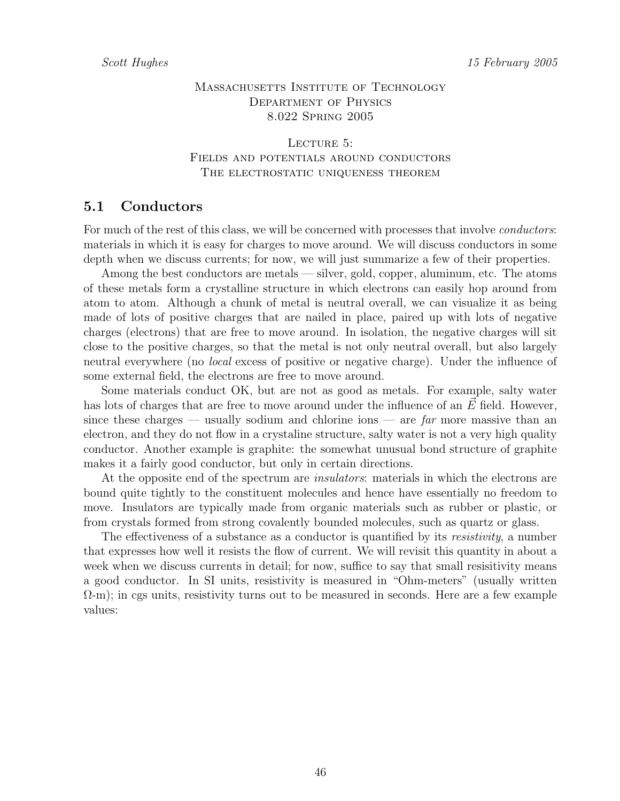## MASSACHUSETTS INSTITUTE OF TECHNOLOGY Department of Physics 8.022 Spring 2005

LECTURE 5: Fields and potentials around conductors THE ELECTROSTATIC UNIQUENESS THEOREM

# 5.1 Conductors

For much of the rest of this class, we will be concerned with processes that involve *conductors*: materials in which it is easy for charges to move around. We will discuss conductors in some depth when we discuss currents; for now, we will just summarize a few of their properties.

Among the best conductors are metals — silver, gold, copper, aluminum, etc. The atoms of these metals form a crystalline structure in which electrons can easily hop around from atom to atom. Although a chunk of metal is neutral overall, we can visualize it as being made of lots of positive charges that are nailed in place, paired up with lots of negative charges (electrons) that are free to move around. In isolation, the negative charges will sit close to the positive charges, so that the metal is not only neutral overall, but also largely neutral everywhere (no local excess of positive or negative charge). Under the influence of some external field, the electrons are free to move around.

Some materials conduct OK, but are not as good as metals. For example, salty water has lots of charges that are free to move around under the influence of an  $E$  field. However, since these charges — usually sodium and chlorine ions — are  $\varphi$  more massive than an electron, and they do not flow in a crystaline structure, salty water is not a very high quality conductor. Another example is graphite: the somewhat unusual bond structure of graphite makes it a fairly good conductor, but only in certain directions.

At the opposite end of the spectrum are *insulators*: materials in which the electrons are bound quite tightly to the constituent molecules and hence have essentially no freedom to move. Insulators are typically made from organic materials such as rubber or plastic, or from crystals formed from strong covalently bounded molecules, such as quartz or glass.

The effectiveness of a substance as a conductor is quantified by its resistivity, a number that expresses how well it resists the flow of current. We will revisit this quantity in about a week when we discuss currents in detail; for now, suffice to say that small resisitivity means a good conductor. In SI units, resistivity is measured in "Ohm-meters" (usually written  $(\Omega - m)$ ; in cgs units, resistivity turns out to be measured in seconds. Here are a few example values: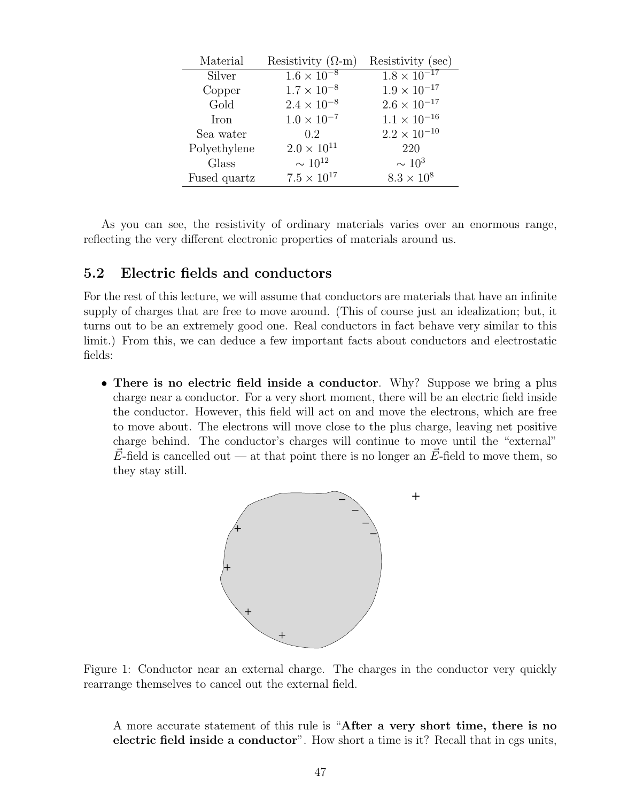| Material     | Resistivity $(\Omega - m)$ | Resistivity (sec)     |
|--------------|----------------------------|-----------------------|
| Silver       | $1.6 \times 10^{-8}$       | $1.8 \times 10^{-17}$ |
| Copper       | $1.7 \times 10^{-8}$       | $1.9 \times 10^{-17}$ |
| Gold         | $2.4 \times 10^{-8}$       | $2.6 \times 10^{-17}$ |
| Iron         | $1.0 \times 10^{-7}$       | $1.1 \times 10^{-16}$ |
| Sea water    | 0.2                        | $2.2\times10^{-10}$   |
| Polyethylene | $2.0 \times 10^{11}$       | 220                   |
| Glass        | $\sim 10^{12}$             | $\sim 10^3$           |
| Fused quartz | $7.5 \times 10^{17}$       | $8.3 \times 10^{8}$   |

As you can see, the resistivity of ordinary materials varies over an enormous range, reflecting the very different electronic properties of materials around us.

# 5.2 Electric fields and conductors

For the rest of this lecture, we will assume that conductors are materials that have an infinite supply of charges that are free to move around. (This of course just an idealization; but, it turns out to be an extremely good one. Real conductors in fact behave very similar to this limit.) From this, we can deduce a few important facts about conductors and electrostatic fields:

• There is no electric field inside a conductor. Why? Suppose we bring a plus charge near a conductor. For a very short moment, there will be an electric field inside the conductor. However, this field will act on and move the electrons, which are free to move about. The electrons will move close to the plus charge, leaving net positive charge behind. The conductor's charges will continue to move until the "external"  $\vec{E}$ -field is cancelled out — at that point there is no longer an  $\vec{E}$ -field to move them, so they stay still.



Figure 1: Conductor near an external charge. The charges in the conductor very quickly rearrange themselves to cancel out the external field.

A more accurate statement of this rule is "After a very short time, there is no electric field inside a conductor". How short a time is it? Recall that in cgs units,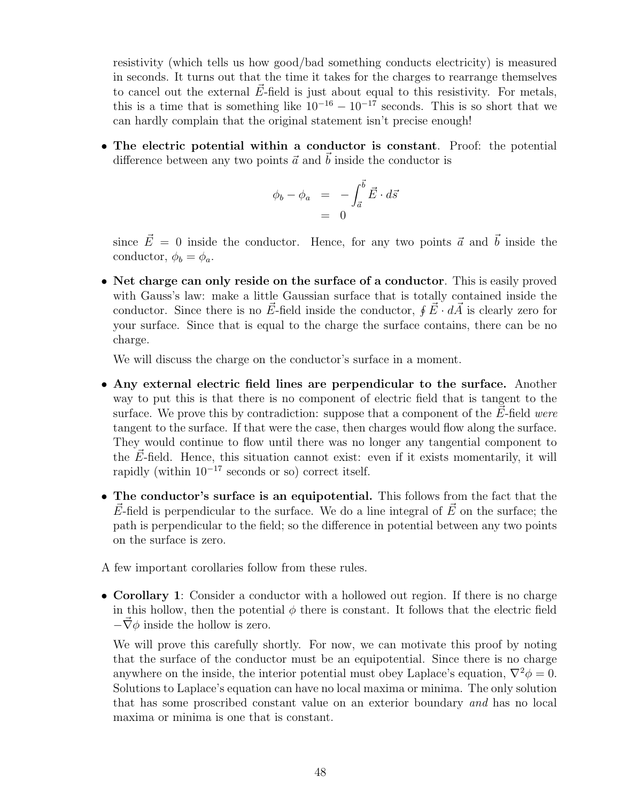resistivity (which tells us how good/bad something conducts electricity) is measured in seconds. It turns out that the time it takes for the charges to rearrange themselves to cancel out the external  $\vec{E}$ -field is just about equal to this resistivity. For metals, this is a time that is something like  $10^{-16} - 10^{-17}$  seconds. This is so short that we can hardly complain that the original statement isn't precise enough!

• The electric potential within a conductor is constant. Proof: the potential difference between any two points  $\vec{a}$  and  $\vec{b}$  inside the conductor is

$$
\begin{array}{rcl}\n\phi_b - \phi_a & = & -\int_{\vec{a}}^{\vec{b}} \vec{E} \cdot d\vec{s} \\
& = & 0\n\end{array}
$$

since  $\vec{E} = 0$  inside the conductor. Hence, for any two points  $\vec{a}$  and  $\vec{b}$  inside the conductor,  $\phi_b = \phi_a$ .

• Net charge can only reside on the surface of a conductor. This is easily proved with Gauss's law: make a little Gaussian surface that is totally contained inside the conductor. Since there is no  $\vec{E}$ -field inside the conductor,  $\oint \vec{E} \cdot d\vec{A}$  is clearly zero for your surface. Since that is equal to the charge the surface contains, there can be no charge.

We will discuss the charge on the conductor's surface in a moment.

- Any external electric field lines are perpendicular to the surface. Another way to put this is that there is no component of electric field that is tangent to the surface. We prove this by contradiction: suppose that a component of the  $\vec{E}$ -field were tangent to the surface. If that were the case, then charges would flow along the surface. They would continue to flow until there was no longer any tangential component to the  $\vec{E}$ -field. Hence, this situation cannot exist: even if it exists momentarily, it will rapidly (within  $10^{-17}$  seconds or so) correct itself.
- The conductor's surface is an equipotential. This follows from the fact that the  $E$ -field is perpendicular to the surface. We do a line integral of E on the surface; the path is perpendicular to the field; so the difference in potential between any two points on the surface is zero.
- A few important corollaries follow from these rules.
- Corollary 1: Consider a conductor with a hollowed out region. If there is no charge in this hollow, then the potential  $\phi$  there is constant. It follows that the electric field  $-\vec{\nabla}\phi$  inside the hollow is zero.

We will prove this carefully shortly. For now, we can motivate this proof by noting that the surface of the conductor must be an equipotential. Since there is no charge anywhere on the inside, the interior potential must obey Laplace's equation,  $\nabla^2 \phi = 0$ . Solutions to Laplace's equation can have no local maxima or minima. The only solution that has some proscribed constant value on an exterior boundary and has no local maxima or minima is one that is constant.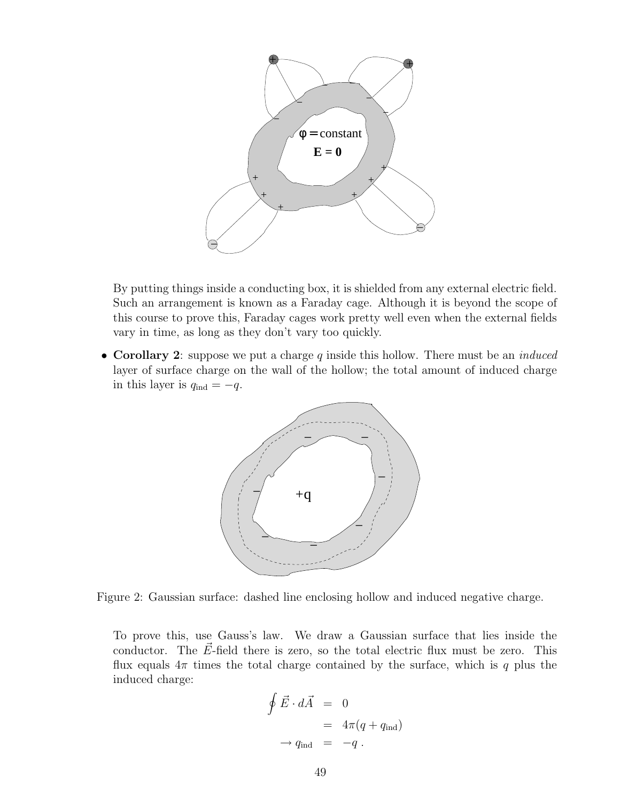

By putting things inside a conducting box, it is shielded from any external electric field. Such an arrangement is known as a Faraday cage. Although it is beyond the scope of this course to prove this, Faraday cages work pretty well even when the external fields vary in time, as long as they don't vary too quickly.

• Corollary 2: suppose we put a charge q inside this hollow. There must be an *induced* layer of surface charge on the wall of the hollow; the total amount of induced charge in this layer is  $q_{\text{ind}} = -q$ .



Figure 2: Gaussian surface: dashed line enclosing hollow and induced negative charge.

To prove this, use Gauss's law. We draw a Gaussian surface that lies inside the conductor. The  $\vec{E}$ -field there is zero, so the total electric flux must be zero. This flux equals  $4\pi$  times the total charge contained by the surface, which is q plus the induced charge:

$$
\oint \vec{E} \cdot d\vec{A} = 0
$$
  
=  $4\pi (q + q_{\text{ind}})$   
 $\rightarrow q_{\text{ind}} = -q$ .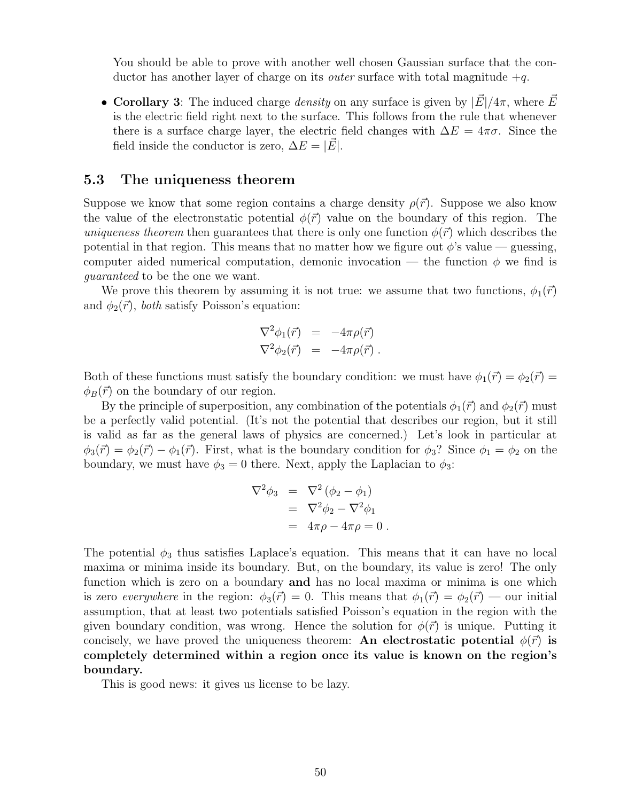You should be able to prove with another well chosen Gaussian surface that the conductor has another layer of charge on its *outer* surface with total magnitude  $+q$ .

• Corollary 3: The induced charge *density* on any surface is given by  $|\vec{E}|/4\pi$ , where  $\vec{E}$ is the electric field right next to the surface. This follows from the rule that whenever there is a surface charge layer, the electric field changes with  $\Delta E = 4\pi\sigma$ . Since the field inside the conductor is zero,  $\Delta E = |E|$ .

### 5.3 The uniqueness theorem

Suppose we know that some region contains a charge density  $\rho(\vec{r})$ . Suppose we also know the value of the electronstatic potential  $\phi(\vec{r})$  value on the boundary of this region. The uniqueness theorem then guarantees that there is only one function  $\phi(\vec{r})$  which describes the potential in that region. This means that no matter how we figure out  $\phi$ 's value — guessing, computer aided numerical computation, demonic invocation — the function  $\phi$  we find is guaranteed to be the one we want.

We prove this theorem by assuming it is not true: we assume that two functions,  $\phi_1(\vec{r})$ and  $\phi_2(\vec{r})$ , both satisfy Poisson's equation:

$$
\nabla^2 \phi_1(\vec{r}) = -4\pi \rho(\vec{r})
$$
  

$$
\nabla^2 \phi_2(\vec{r}) = -4\pi \rho(\vec{r}) .
$$

Both of these functions must satisfy the boundary condition: we must have  $\phi_1(\vec{r}) = \phi_2(\vec{r}) =$  $\phi_B(\vec{r})$  on the boundary of our region.

By the principle of superposition, any combination of the potentials  $\phi_1(\vec{r})$  and  $\phi_2(\vec{r})$  must be a perfectly valid potential. (It's not the potential that describes our region, but it still is valid as far as the general laws of physics are concerned.) Let's look in particular at  $\phi_3(\vec{r}) = \phi_2(\vec{r}) - \phi_1(\vec{r})$ . First, what is the boundary condition for  $\phi_3$ ? Since  $\phi_1 = \phi_2$  on the boundary, we must have  $\phi_3 = 0$  there. Next, apply the Laplacian to  $\phi_3$ :

$$
\nabla^2 \phi_3 = \nabla^2 (\phi_2 - \phi_1)
$$
  
= 
$$
\nabla^2 \phi_2 - \nabla^2 \phi_1
$$
  
= 
$$
4\pi \rho - 4\pi \rho = 0.
$$

The potential  $\phi_3$  thus satisfies Laplace's equation. This means that it can have no local maxima or minima inside its boundary. But, on the boundary, its value is zero! The only function which is zero on a boundary and has no local maxima or minima is one which is zero everywhere in the region:  $\phi_3(\vec{r}) = 0$ . This means that  $\phi_1(\vec{r}) = \phi_2(\vec{r})$  — our initial assumption, that at least two potentials satisfied Poisson's equation in the region with the given boundary condition, was wrong. Hence the solution for  $\phi(\vec{r})$  is unique. Putting it concisely, we have proved the uniqueness theorem: An electrostatic potential  $\phi(\vec{r})$  is completely determined within a region once its value is known on the region's boundary.

This is good news: it gives us license to be lazy.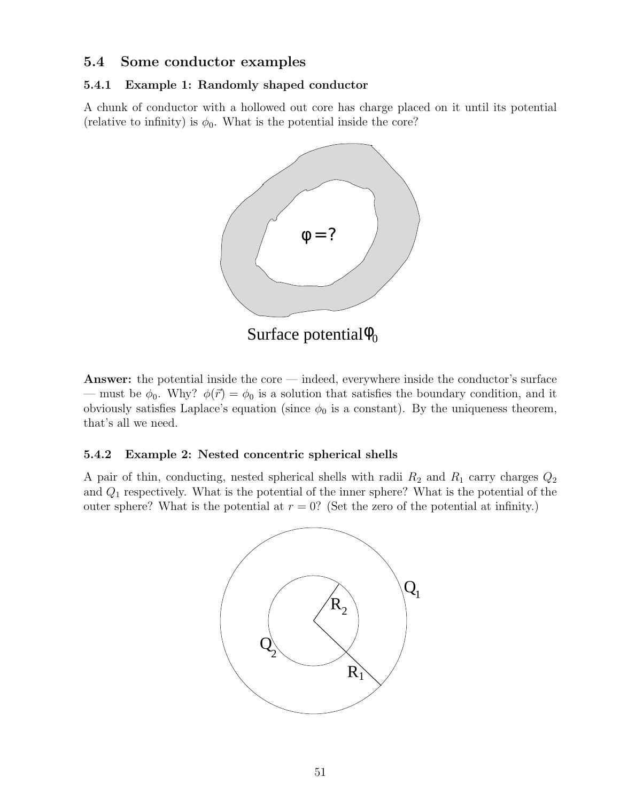## 5.4 Some conductor examples

#### 5.4.1 Example 1: Randomly shaped conductor

A chunk of conductor with a hollowed out core has charge placed on it until its potential (relative to infinity) is  $\phi_0$ . What is the potential inside the core?



Answer: the potential inside the core — indeed, everywhere inside the conductor's surface — must be  $\phi_0$ . Why?  $\phi(\vec{r}) = \phi_0$  is a solution that satisfies the boundary condition, and it obviously satisfies Laplace's equation (since  $\phi_0$  is a constant). By the uniqueness theorem, that's all we need.

#### 5.4.2 Example 2: Nested concentric spherical shells

A pair of thin, conducting, nested spherical shells with radii  $R_2$  and  $R_1$  carry charges  $Q_2$ and  $Q_1$  respectively. What is the potential of the inner sphere? What is the potential of the outer sphere? What is the potential at  $r = 0$ ? (Set the zero of the potential at infinity.)

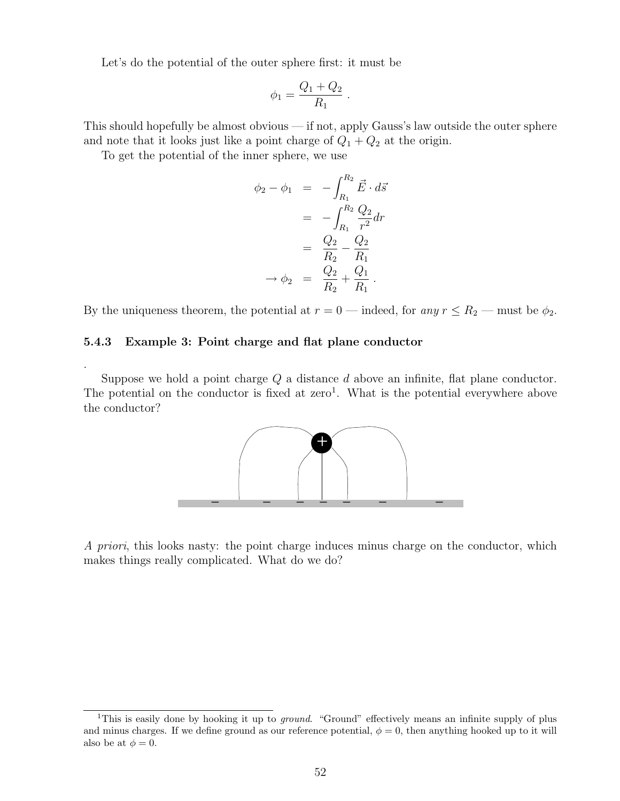Let's do the potential of the outer sphere first: it must be

$$
\phi_1 = \frac{Q_1 + Q_2}{R_1} \; .
$$

This should hopefully be almost obvious — if not, apply Gauss's law outside the outer sphere and note that it looks just like a point charge of  $Q_1 + Q_2$  at the origin.

To get the potential of the inner sphere, we use

$$
\begin{aligned}\n\phi_2 - \phi_1 &= -\int_{R_1}^{R_2} \vec{E} \cdot d\vec{s} \\
&= -\int_{R_1}^{R_2} \frac{Q_2}{r^2} dr \\
&= \frac{Q_2}{R_2} - \frac{Q_2}{R_1} \\
\rightarrow \phi_2 &= \frac{Q_2}{R_2} + \frac{Q_1}{R_1} .\n\end{aligned}
$$

By the uniqueness theorem, the potential at  $r = 0$  — indeed, for any  $r \le R_2$  — must be  $\phi_2$ .

#### 5.4.3 Example 3: Point charge and flat plane conductor

.

Suppose we hold a point charge  $Q$  a distance  $d$  above an infinite, flat plane conductor. The potential on the conductor is fixed at zero<sup>1</sup>. What is the potential everywhere above the conductor?



A priori, this looks nasty: the point charge induces minus charge on the conductor, which makes things really complicated. What do we do?

<sup>&</sup>lt;sup>1</sup>This is easily done by hooking it up to *ground.* "Ground" effectively means an infinite supply of plus and minus charges. If we define ground as our reference potential,  $\phi = 0$ , then anything hooked up to it will also be at  $\phi = 0$ .